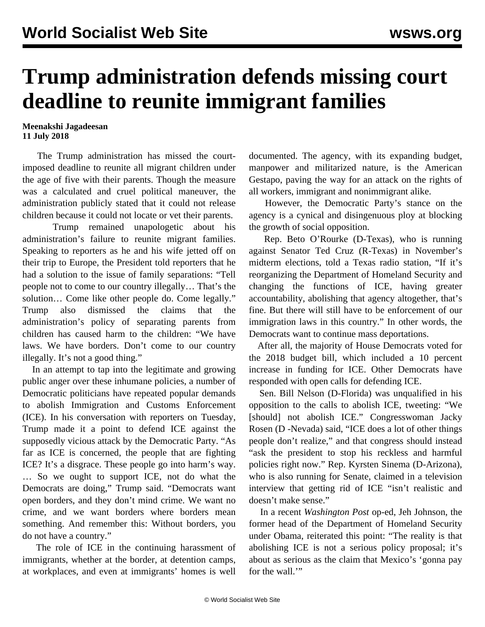## **Trump administration defends missing court deadline to reunite immigrant families**

## **Meenakshi Jagadeesan 11 July 2018**

 The Trump administration has missed the courtimposed deadline to reunite all migrant children under the age of five with their parents. Though the measure was a calculated and cruel political maneuver, the administration publicly stated that it could not release children because it could not locate or vet their parents.

 Trump remained unapologetic about his administration's failure to reunite migrant families. Speaking to reporters as he and his wife jetted off on their trip to Europe, the President told reporters that he had a solution to the issue of family separations: "Tell people not to come to our country illegally… That's the solution… Come like other people do. Come legally." Trump also dismissed the claims that the administration's policy of separating parents from children has caused harm to the children: "We have laws. We have borders. Don't come to our country illegally. It's not a good thing."

 In an attempt to tap into the legitimate and growing public anger over these inhumane policies, a number of Democratic politicians have repeated popular demands to abolish Immigration and Customs Enforcement (ICE). In his conversation with reporters on Tuesday, Trump made it a point to defend ICE against the supposedly vicious attack by the Democratic Party. "As far as ICE is concerned, the people that are fighting ICE? It's a disgrace. These people go into harm's way. … So we ought to support ICE, not do what the Democrats are doing," Trump said. "Democrats want open borders, and they don't mind crime. We want no crime, and we want borders where borders mean something. And remember this: Without borders, you do not have a country."

 The role of ICE in the continuing harassment of immigrants, whether at the border, at detention camps, at workplaces, and even at immigrants' homes is well documented. The agency, with its expanding budget, manpower and militarized nature, is the American Gestapo, paving the way for an attack on the rights of all workers, immigrant and nonimmigrant alike.

 However, the Democratic Party's stance on the agency is a cynical and disingenuous ploy at blocking the growth of social opposition.

 Rep. Beto O'Rourke (D-Texas), who is running against Senator Ted Cruz (R-Texas) in November's midterm elections, told a Texas radio station, "If it's reorganizing the Department of Homeland Security and changing the functions of ICE, having greater accountability, abolishing that agency altogether, that's fine. But there will still have to be enforcement of our immigration laws in this country." In other words, the Democrats want to continue mass deportations.

 After all, the majority of House Democrats voted for the 2018 budget bill, which included a 10 percent increase in funding for ICE. Other Democrats have responded with open calls for defending ICE.

 Sen. Bill Nelson (D-Florida) was unqualified in his opposition to the calls to abolish ICE, tweeting: "We [should] not abolish ICE." Congresswoman Jacky Rosen (D -Nevada) said, "ICE does a lot of other things people don't realize," and that congress should instead "ask the president to stop his reckless and harmful policies right now." Rep. Kyrsten Sinema (D-Arizona), who is also running for Senate, claimed in a television interview that getting rid of ICE "isn't realistic and doesn't make sense."

 In a recent *Washington Post* op-ed, Jeh Johnson, the former head of the Department of Homeland Security under Obama, reiterated this point: "The reality is that abolishing ICE is not a serious policy proposal; it's about as serious as the claim that Mexico's 'gonna pay for the wall."